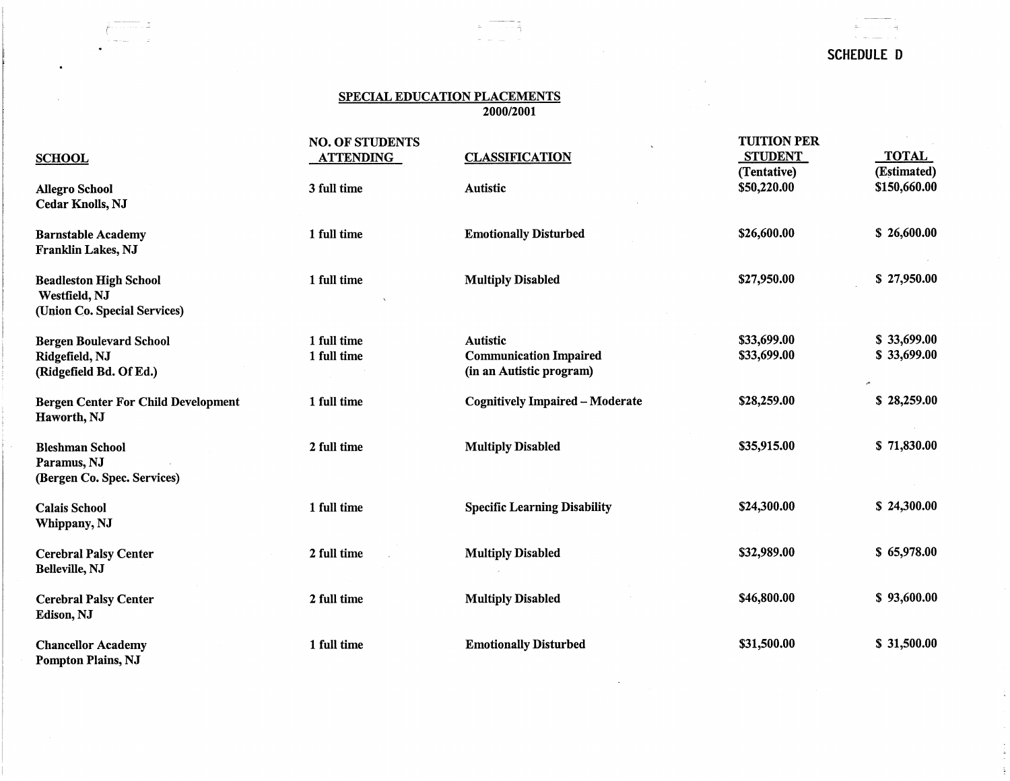# SCHEDULE D

 $\frac{1}{\pi}$ 

 $\frac{1}{2}$ 

 $\sim$   $\sim$  $\sim$ 

## SPECIAL EDUCATION PLACEMENTS 2000/2001

~---

 $\bullet$ 

t -'i <sup>~</sup>

|                                                                                | <b>NO. OF STUDENTS</b> |                                        | <b>TUITION PER</b><br><b>STUDENT</b> | <b>TOTAL</b> |
|--------------------------------------------------------------------------------|------------------------|----------------------------------------|--------------------------------------|--------------|
| <b>SCHOOL</b>                                                                  | <b>ATTENDING</b>       | <b>CLASSIFICATION</b>                  | (Tentative)                          | (Estimated)  |
| <b>Allegro School</b><br><b>Cedar Knolls, NJ</b>                               | 3 full time            | <b>Autistic</b>                        | \$50,220.00                          | \$150,660.00 |
| <b>Barnstable Academy</b><br>Franklin Lakes, NJ                                | 1 full time            | <b>Emotionally Disturbed</b>           | \$26,600.00                          | \$26,600.00  |
| <b>Beadleston High School</b><br>Westfield, NJ<br>(Union Co. Special Services) | 1 full time            | <b>Multiply Disabled</b>               | \$27,950.00                          | \$27,950.00  |
| <b>Bergen Boulevard School</b>                                                 | 1 full time            | <b>Autistic</b>                        | \$33,699.00                          | \$33,699.00  |
| Ridgefield, NJ                                                                 | 1 full time            | <b>Communication Impaired</b>          | \$33,699.00                          | \$33,699.00  |
| (Ridgefield Bd. Of Ed.)                                                        |                        | (in an Autistic program)               |                                      |              |
| <b>Bergen Center For Child Development</b><br>Haworth, NJ                      | 1 full time            | <b>Cognitively Impaired - Moderate</b> | \$28,259.00                          | \$28,259.00  |
| <b>Bleshman School</b><br>Paramus, NJ<br>(Bergen Co. Spec. Services)           | 2 full time            | <b>Multiply Disabled</b>               | \$35,915.00                          | \$71,830.00  |
| <b>Calais School</b><br>Whippany, NJ                                           | 1 full time            | <b>Specific Learning Disability</b>    | \$24,300.00                          | \$24,300.00  |
| <b>Cerebral Palsy Center</b><br><b>Belleville, NJ</b>                          | 2 full time            | <b>Multiply Disabled</b>               | \$32,989.00                          | \$65,978.00  |
| <b>Cerebral Palsy Center</b><br>Edison, NJ                                     | 2 full time            | <b>Multiply Disabled</b>               | \$46,800.00                          | \$93,600.00  |
| <b>Chancellor Academy</b><br><b>Pompton Plains, NJ</b>                         | 1 full time            | <b>Emotionally Disturbed</b>           | \$31,500.00                          | \$31,500.00  |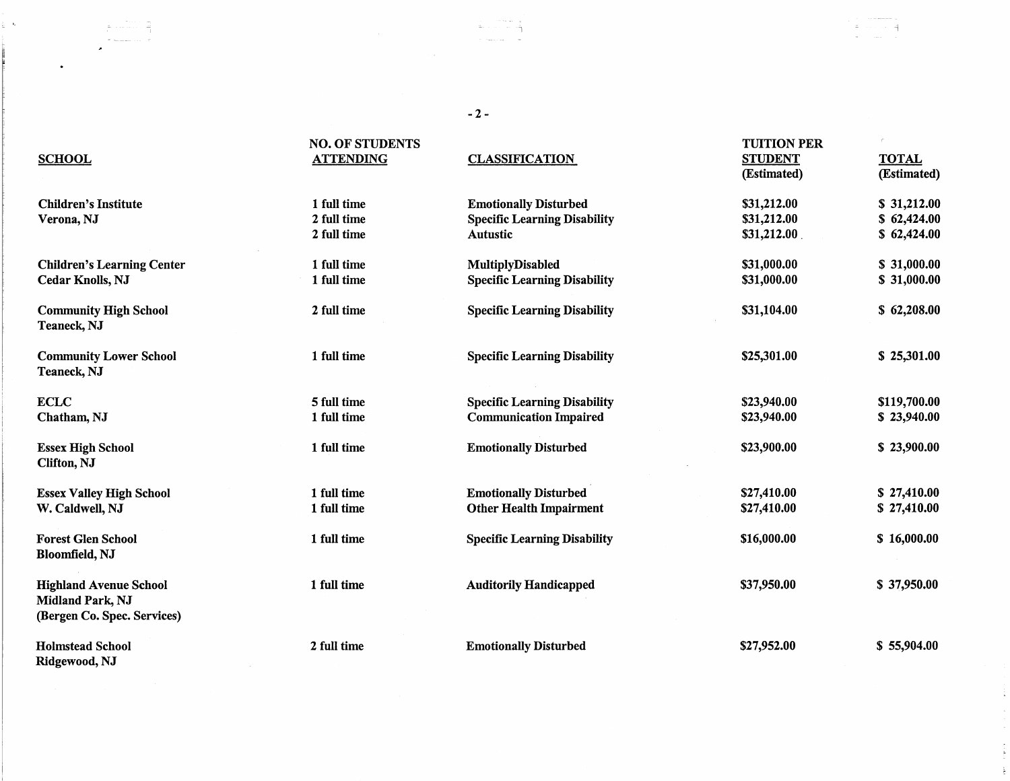## -2-

 $\frac{1}{2\pi}$ 

| <b>SCHOOL</b>                                                                           | <b>NO. OF STUDENTS</b><br><b>ATTENDING</b> | <b>CLASSIFICATION</b>                                               | <b>TUITION PER</b><br><b>STUDENT</b><br>(Estimated) | <b>TOTAL</b><br>(Estimated) |
|-----------------------------------------------------------------------------------------|--------------------------------------------|---------------------------------------------------------------------|-----------------------------------------------------|-----------------------------|
| <b>Children's Institute</b><br>Verona, NJ                                               | 1 full time<br>2 full time                 | <b>Emotionally Disturbed</b><br><b>Specific Learning Disability</b> | \$31,212.00<br>\$31,212.00                          | \$31,212.00<br>\$62,424.00  |
|                                                                                         | 2 full time                                | Autustic                                                            | \$31,212.00                                         | \$62,424.00                 |
| <b>Children's Learning Center</b>                                                       | 1 full time                                | MultiplyDisabled                                                    | \$31,000.00                                         | \$31,000.00                 |
| <b>Cedar Knolls, NJ</b>                                                                 | 1 full time                                | <b>Specific Learning Disability</b>                                 | \$31,000.00                                         | \$31,000.00                 |
| <b>Community High School</b><br>Teaneck, NJ                                             | 2 full time                                | <b>Specific Learning Disability</b>                                 | \$31,104.00                                         | \$62,208.00                 |
| <b>Community Lower School</b><br>Teaneck, NJ                                            | 1 full time                                | <b>Specific Learning Disability</b>                                 | \$25,301.00                                         | \$25,301.00                 |
| <b>ECLC</b>                                                                             | 5 full time                                | <b>Specific Learning Disability</b>                                 | \$23,940.00                                         | \$119,700.00                |
| Chatham, NJ                                                                             | 1 full time                                | <b>Communication Impaired</b>                                       | \$23,940.00                                         | \$23,940.00                 |
| <b>Essex High School</b><br>Clifton, NJ                                                 | 1 full time                                | <b>Emotionally Disturbed</b>                                        | \$23,900.00                                         | \$23,900.00                 |
| <b>Essex Valley High School</b>                                                         | 1 full time                                | <b>Emotionally Disturbed</b>                                        | \$27,410.00                                         | \$27,410.00                 |
| W. Caldwell, NJ                                                                         | 1 full time                                | <b>Other Health Impairment</b>                                      | \$27,410.00                                         | \$27,410.00                 |
| <b>Forest Glen School</b><br><b>Bloomfield, NJ</b>                                      | 1 full time                                | <b>Specific Learning Disability</b>                                 | \$16,000.00                                         | \$16,000.00                 |
| <b>Highland Avenue School</b><br><b>Midland Park, NJ</b><br>(Bergen Co. Spec. Services) | 1 full time                                | <b>Auditorily Handicapped</b>                                       | \$37,950.00                                         | \$37,950.00                 |
| <b>Holmstead School</b>                                                                 | 2 full time                                | <b>Emotionally Disturbed</b>                                        | \$27,952.00                                         | \$55,904.00                 |

 $\bullet$ 

 $\frac{1}{2}$  .  $\lambda$ 

 $\frac{\gamma}{4}$ 

u le

 $\mathbb{E}_{\mathbb{E}_{\mathbb{E}_{\mathbb{E}_{\mathbb{E}}}}\left\{ \mathbb{E}_{\mathbb{E}_{\mathbb{E}_{\mathbb{E}}}}\left[ \mathbb{E}_{\mathbb{E}_{\mathbb{E}}}\left[ \mathbb{E}_{\mathbb{E}_{\mathbb{E}}}\left[ \mathbb{E}_{\mathbb{E}_{\mathbb{E}}}\left[ \mathbb{E}_{\mathbb{E}_{\mathbb{E}}}\left[ \mathbb{E}_{\mathbb{E}_{\mathbb{E}}}\left[ \mathbb{E}_{\mathbb{E}_{\mathbb{E}}}\left[ \mathbb{E}_{\mathbb{E}_{\mathbb{E}}}\left[ \mathbb{E}_{\mathbb{$ 

 $\mathbf{z}$ 

Ridgewood, NJ

1 --1

41  $\sim$ 

 $\frac{1}{2}$  $\frac{1}{2}$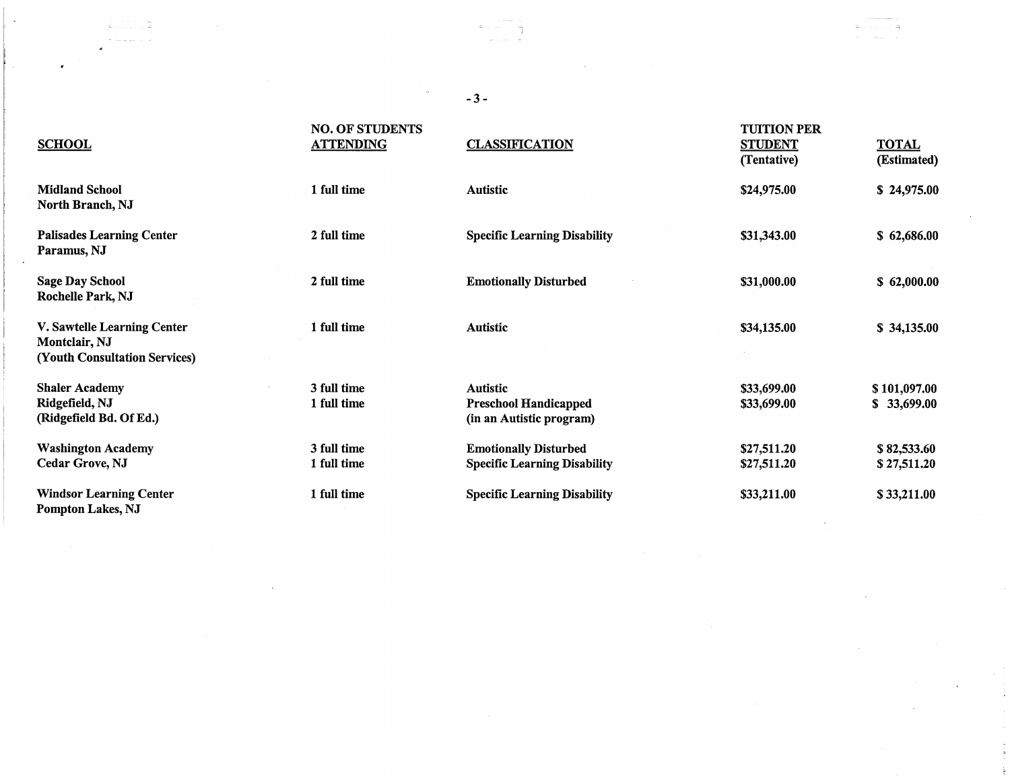## -3-

 $\sim$ 

 $\pm$ 

 $\mathcal{L}_{\mathcal{A}}$ 

 $\sigma$ 

 $\mathcal{L}_{\text{max}}$  , where  $\mathcal{L}_{\text{max}}$ 

we assume that  $\gamma_{\rm eff} = 1$ 

 $\overline{a}$ 

 $\bullet$ 

 $\sim 10$ 

| <b>SCHOOL</b>                                                                        | <b>NO. OF STUDENTS</b><br><b>ATTENDING</b> | <b>CLASSIFICATION</b>                                                       | <b>TUITION PER</b><br><b>STUDENT</b><br>(Tentative) | <b>TOTAL</b><br>(Estimated) |
|--------------------------------------------------------------------------------------|--------------------------------------------|-----------------------------------------------------------------------------|-----------------------------------------------------|-----------------------------|
| <b>Midland School</b><br>North Branch, NJ                                            | 1 full time                                | <b>Autistic</b>                                                             | \$24,975.00                                         | \$24,975.00                 |
| <b>Palisades Learning Center</b><br>Paramus, NJ                                      | 2 full time                                | <b>Specific Learning Disability</b>                                         | \$31,343.00                                         | \$62,686.00                 |
| <b>Sage Day School</b><br>Rochelle Park, NJ                                          | 2 full time                                | <b>Emotionally Disturbed</b>                                                | \$31,000.00                                         | \$62,000.00                 |
| V. Sawtelle Learning Center<br>Montclair, NJ<br><b>(Youth Consultation Services)</b> | 1 full time                                | <b>Autistic</b>                                                             | \$34,135.00                                         | \$34,135.00                 |
| <b>Shaler Academy</b><br>Ridgefield, NJ<br>(Ridgefield Bd. Of Ed.)                   | 3 full time<br>1 full time                 | <b>Autistic</b><br><b>Preschool Handicapped</b><br>(in an Autistic program) | \$33,699.00<br>\$33,699.00                          | \$101,097.00<br>\$33,699.00 |
| <b>Washington Academy</b><br>Cedar Grove, NJ                                         | 3 full time<br>1 full time                 | <b>Emotionally Disturbed</b><br><b>Specific Learning Disability</b>         | \$27,511.20<br>\$27,511.20                          | \$82,533.60<br>\$27,511.20  |
| <b>Windsor Learning Center</b><br>Pompton Lakes, NJ                                  | 1 full time                                | <b>Specific Learning Disability</b>                                         | \$33,211.00                                         | \$33,211.00                 |

 $\hat{1}$  and the contract of the contract of the contract of the contract of the contract of the contract of the contract of the contract of the contract of the contract of the contract of the contract of the contract of t

n.

主